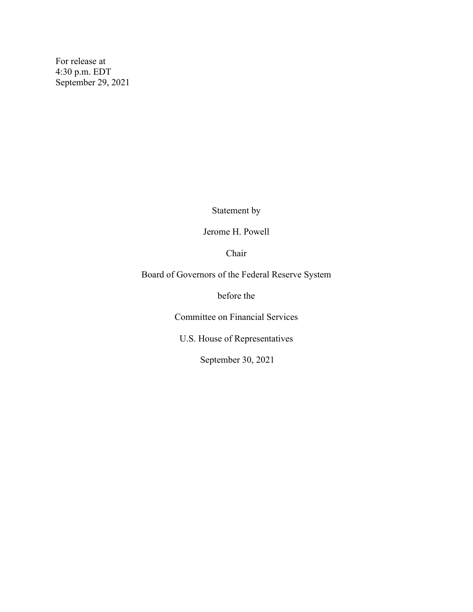For release at 4:30 p.m. EDT September 29, 2021

Statement by

Jerome H. Powell

Chair

Board of Governors of the Federal Reserve System

before the

Committee on Financial Services

U.S. House of Representatives

September 30, 2021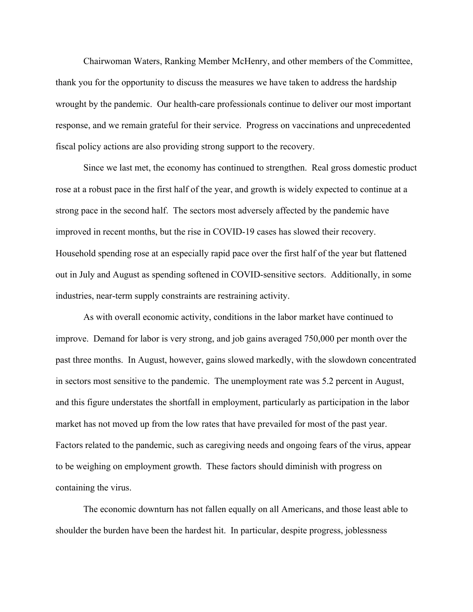Chairwoman Waters, Ranking Member McHenry, and other members of the Committee, thank you for the opportunity to discuss the measures we have taken to address the hardship wrought by the pandemic. Our health-care professionals continue to deliver our most important response, and we remain grateful for their service. Progress on vaccinations and unprecedented fiscal policy actions are also providing strong support to the recovery.

Since we last met, the economy has continued to strengthen. Real gross domestic product rose at a robust pace in the first half of the year, and growth is widely expected to continue at a strong pace in the second half. The sectors most adversely affected by the pandemic have improved in recent months, but the rise in COVID-19 cases has slowed their recovery. Household spending rose at an especially rapid pace over the first half of the year but flattened out in July and August as spending softened in COVID-sensitive sectors. Additionally, in some industries, near-term supply constraints are restraining activity.

As with overall economic activity, conditions in the labor market have continued to improve. Demand for labor is very strong, and job gains averaged 750,000 per month over the past three months. In August, however, gains slowed markedly, with the slowdown concentrated in sectors most sensitive to the pandemic. The unemployment rate was 5.2 percent in August, and this figure understates the shortfall in employment, particularly as participation in the labor market has not moved up from the low rates that have prevailed for most of the past year. Factors related to the pandemic, such as caregiving needs and ongoing fears of the virus, appear to be weighing on employment growth. These factors should diminish with progress on containing the virus.

The economic downturn has not fallen equally on all Americans, and those least able to shoulder the burden have been the hardest hit. In particular, despite progress, joblessness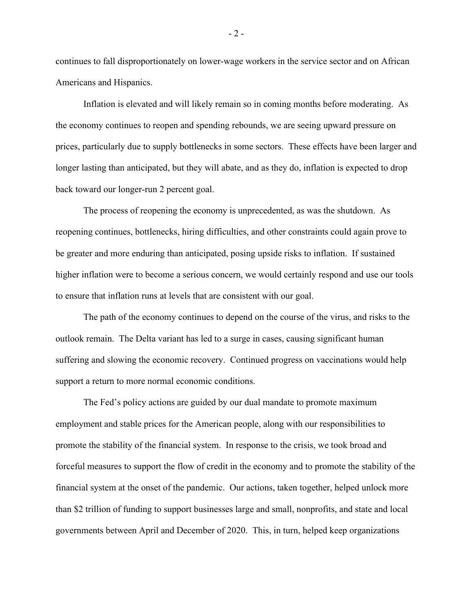continues to fall disproportionately on lower-wage workers in the service sector and on African Americans and Hispanics.

Inflation is elevated and will likely remain so in coming months before moderating. As the economy continues to reopen and spending rebounds, we are seeing upward pressure on prices, particularly due to supply bottlenecks in some sectors. These effects have been larger and longer lasting than anticipated, but they will abate, and as they do, inflation is expected to drop back toward our longer-run 2 percent goal.

The process of reopening the economy is unprecedented, as was the shutdown. As reopening continues, bottlenecks, hiring difficulties, and other constraints could again prove to be greater and more enduring than anticipated, posing upside risks to inflation. If sustained higher inflation were to become a serious concern, we would certainly respond and use our tools to ensure that inflation runs at levels that are consistent with our goal.

The path of the economy continues to depend on the course of the virus, and risks to the outlook remain. The Delta variant has led to a surge in cases, causing significant human suffering and slowing the economic recovery. Continued progress on vaccinations would help support a return to more normal economic conditions.

The Fed's policy actions are guided by our dual mandate to promote maximum employment and stable prices for the American people, along with our responsibilities to promote the stability of the financial system. In response to the crisis, we took broad and forceful measures to support the flow of credit in the economy and to promote the stability of the financial system at the onset of the pandemic. Our actions, taken together, helped unlock more than \$2 trillion of funding to support businesses large and small, nonprofits, and state and local governments between April and December of 2020. This, in turn, helped keep organizations

- 2 -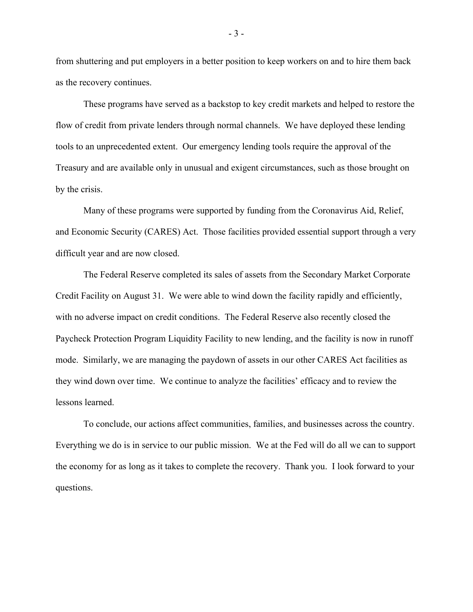from shuttering and put employers in a better position to keep workers on and to hire them back as the recovery continues.

These programs have served as a backstop to key credit markets and helped to restore the flow of credit from private lenders through normal channels. We have deployed these lending tools to an unprecedented extent. Our emergency lending tools require the approval of the Treasury and are available only in unusual and exigent circumstances, such as those brought on by the crisis.

Many of these programs were supported by funding from the Coronavirus Aid, Relief, and Economic Security (CARES) Act. Those facilities provided essential support through a very difficult year and are now closed.

The Federal Reserve completed its sales of assets from the Secondary Market Corporate Credit Facility on August 31. We were able to wind down the facility rapidly and efficiently, with no adverse impact on credit conditions. The Federal Reserve also recently closed the Paycheck Protection Program Liquidity Facility to new lending, and the facility is now in runoff mode. Similarly, we are managing the paydown of assets in our other CARES Act facilities as they wind down over time. We continue to analyze the facilities' efficacy and to review the lessons learned.

To conclude, our actions affect communities, families, and businesses across the country. Everything we do is in service to our public mission. We at the Fed will do all we can to support the economy for as long as it takes to complete the recovery. Thank you. I look forward to your questions.

- 3 -